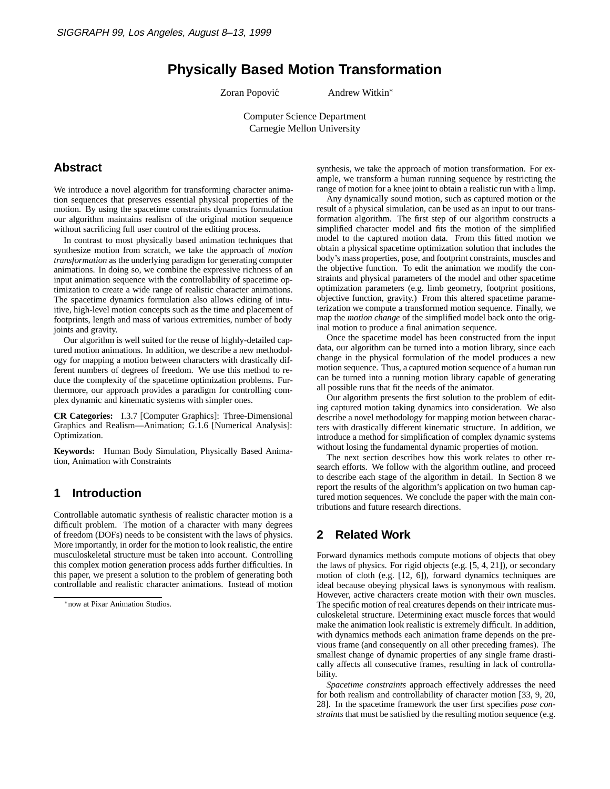# **Physically Based Motion Transformation**

Zoran Popović Andrew Witkin<sup>\*</sup>

Computer Science Department Carnegie Mellon University

### **Abstract**

We introduce a novel algorithm for transforming character animation sequences that preserves essential physical properties of the motion. By using the spacetime constraints dynamics formulation our algorithm maintains realism of the original motion sequence without sacrificing full user control of the editing process.

In contrast to most physically based animation techniques that synthesize motion from scratch, we take the approach of *motion transformation* as the underlying paradigm for generating computer animations. In doing so, we combine the expressive richness of an input animation sequence with the controllability of spacetime optimization to create a wide range of realistic character animations. The spacetime dynamics formulation also allows editing of intuitive, high-level motion concepts such as the time and placement of footprints, length and mass of various extremities, number of body joints and gravity.

Our algorithm is well suited for the reuse of highly-detailed captured motion animations. In addition, we describe a new methodology for mapping a motion between characters with drastically different numbers of degrees of freedom. We use this method to reduce the complexity of the spacetime optimization problems. Furthermore, our approach provides a paradigm for controlling complex dynamic and kinematic systems with simpler ones.

**CR Categories:** I.3.7 [Computer Graphics]: Three-Dimensional Graphics and Realism—Animation; G.1.6 [Numerical Analysis]: Optimization.

**Keywords:** Human Body Simulation, Physically Based Animation, Animation with Constraints

# **1 Introduction**

Controllable automatic synthesis of realistic character motion is a difficult problem. The motion of a character with many degrees of freedom (DOFs) needs to be consistent with the laws of physics. More importantly, in order for the motion to look realistic, the entire musculoskeletal structure must be taken into account. Controlling this complex motion generation process adds further difficulties. In this paper, we present a solution to the problem of generating both controllable and realistic character animations. Instead of motion synthesis, we take the approach of motion transformation. For example, we transform a human running sequence by restricting the range of motion for a knee joint to obtain a realistic run with a limp.

Any dynamically sound motion, such as captured motion or the result of a physical simulation, can be used as an input to our transformation algorithm. The first step of our algorithm constructs a simplified character model and fits the motion of the simplified model to the captured motion data. From this fitted motion we obtain a physical spacetime optimization solution that includes the body's mass properties, pose, and footprint constraints, muscles and the objective function. To edit the animation we modify the constraints and physical parameters of the model and other spacetime optimization parameters (e.g. limb geometry, footprint positions, objective function, gravity.) From this altered spacetime parameterization we compute a transformed motion sequence. Finally, we map the *motion change* of the simplified model back onto the original motion to produce a final animation sequence.

Once the spacetime model has been constructed from the input data, our algorithm can be turned into a motion library, since each change in the physical formulation of the model produces a new motion sequence. Thus, a captured motion sequence of a human run can be turned into a running motion library capable of generating all possible runs that fit the needs of the animator.

Our algorithm presents the first solution to the problem of editing captured motion taking dynamics into consideration. We also describe a novel methodology for mapping motion between characters with drastically different kinematic structure. In addition, we introduce a method for simplification of complex dynamic systems without losing the fundamental dynamic properties of motion.

The next section describes how this work relates to other research efforts. We follow with the algorithm outline, and proceed to describe each stage of the algorithm in detail. In Section 8 we report the results of the algorithm's application on two human captured motion sequences. We conclude the paper with the main contributions and future research directions.

# **2 Related Work**

Forward dynamics methods compute motions of objects that obey the laws of physics. For rigid objects (e.g. [5, 4, 21]), or secondary motion of cloth (e.g. [12, 6]), forward dynamics techniques are ideal because obeying physical laws is synonymous with realism. However, active characters create motion with their own muscles. The specific motion of real creatures depends on their intricate musculoskeletal structure. Determining exact muscle forces that would make the animation look realistic is extremely difficult. In addition, with dynamics methods each animation frame depends on the previous frame (and consequently on all other preceding frames). The smallest change of dynamic properties of any single frame drastically affects all consecutive frames, resulting in lack of controllability.

*Spacetime constraints* approach effectively addresses the need for both realism and controllability of character motion [33, 9, 20, 28]. In the spacetime framework the user first specifies *pose constraints* that must be satisfied by the resulting motion sequence (e.g.

<sup>∗</sup>now at Pixar Animation Studios.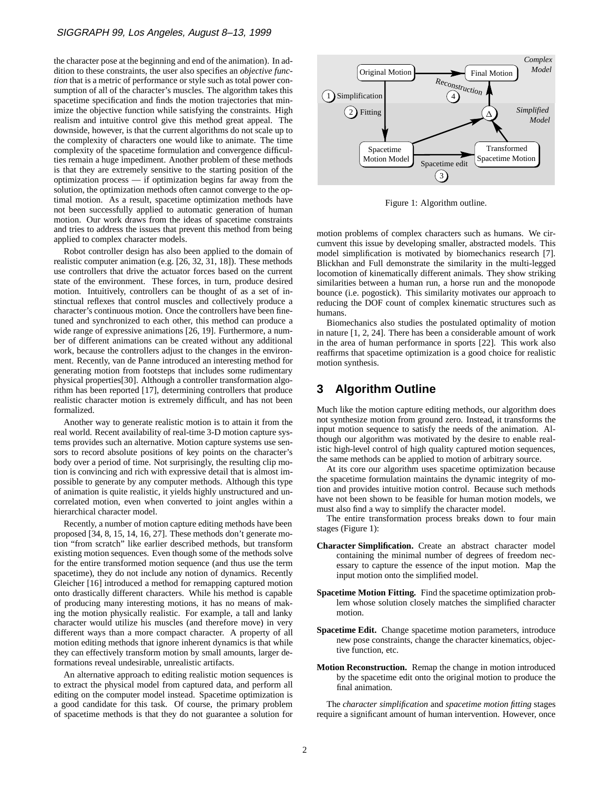the character pose at the beginning and end of the animation). In addition to these constraints, the user also specifies an *objective function* that is a metric of performance or style such as total power consumption of all of the character's muscles. The algorithm takes this spacetime specification and finds the motion trajectories that minimize the objective function while satisfying the constraints. High realism and intuitive control give this method great appeal. The downside, however, is that the current algorithms do not scale up to the complexity of characters one would like to animate. The time complexity of the spacetime formulation and convergence difficulties remain a huge impediment. Another problem of these methods is that they are extremely sensitive to the starting position of the optimization process — if optimization begins far away from the solution, the optimization methods often cannot converge to the optimal motion. As a result, spacetime optimization methods have not been successfully applied to automatic generation of human motion. Our work draws from the ideas of spacetime constraints and tries to address the issues that prevent this method from being applied to complex character models.

Robot controller design has also been applied to the domain of realistic computer animation (e.g. [26, 32, 31, 18]). These methods use controllers that drive the actuator forces based on the current state of the environment. These forces, in turn, produce desired motion. Intuitively, controllers can be thought of as a set of instinctual reflexes that control muscles and collectively produce a character's continuous motion. Once the controllers have been finetuned and synchronized to each other, this method can produce a wide range of expressive animations [26, 19]. Furthermore, a number of different animations can be created without any additional work, because the controllers adjust to the changes in the environment. Recently, van de Panne introduced an interesting method for generating motion from footsteps that includes some rudimentary physical properties[30]. Although a controller transformation algorithm has been reported [17], determining controllers that produce realistic character motion is extremely difficult, and has not been formalized.

Another way to generate realistic motion is to attain it from the real world. Recent availability of real-time 3-D motion capture systems provides such an alternative. Motion capture systems use sensors to record absolute positions of key points on the character's body over a period of time. Not surprisingly, the resulting clip motion is convincing and rich with expressive detail that is almost impossible to generate by any computer methods. Although this type of animation is quite realistic, it yields highly unstructured and uncorrelated motion, even when converted to joint angles within a hierarchical character model.

Recently, a number of motion capture editing methods have been proposed [34, 8, 15, 14, 16, 27]. These methods don't generate motion "from scratch" like earlier described methods, but transform existing motion sequences. Even though some of the methods solve for the entire transformed motion sequence (and thus use the term spacetime), they do not include any notion of dynamics. Recently Gleicher [16] introduced a method for remapping captured motion onto drastically different characters. While his method is capable of producing many interesting motions, it has no means of making the motion physically realistic. For example, a tall and lanky character would utilize his muscles (and therefore move) in very different ways than a more compact character. A property of all motion editing methods that ignore inherent dynamics is that while they can effectively transform motion by small amounts, larger deformations reveal undesirable, unrealistic artifacts.

An alternative approach to editing realistic motion sequences is to extract the physical model from captured data, and perform all editing on the computer model instead. Spacetime optimization is a good candidate for this task. Of course, the primary problem of spacetime methods is that they do not guarantee a solution for



Figure 1: Algorithm outline.

motion problems of complex characters such as humans. We circumvent this issue by developing smaller, abstracted models. This model simplification is motivated by biomechanics research [7]. Blickhan and Full demonstrate the similarity in the multi-legged locomotion of kinematically different animals. They show striking similarities between a human run, a horse run and the monopode bounce (i.e. pogostick). This similarity motivates our approach to reducing the DOF count of complex kinematic structures such as humans.

Biomechanics also studies the postulated optimality of motion in nature [1, 2, 24]. There has been a considerable amount of work in the area of human performance in sports [22]. This work also reaffirms that spacetime optimization is a good choice for realistic motion synthesis.

# **3 Algorithm Outline**

Much like the motion capture editing methods, our algorithm does not synthesize motion from ground zero. Instead, it transforms the input motion sequence to satisfy the needs of the animation. Although our algorithm was motivated by the desire to enable realistic high-level control of high quality captured motion sequences, the same methods can be applied to motion of arbitrary source.

At its core our algorithm uses spacetime optimization because the spacetime formulation maintains the dynamic integrity of motion and provides intuitive motion control. Because such methods have not been shown to be feasible for human motion models, we must also find a way to simplify the character model.

The entire transformation process breaks down to four main stages (Figure 1):

- **Character Simplification.** Create an abstract character model containing the minimal number of degrees of freedom necessary to capture the essence of the input motion. Map the input motion onto the simplified model.
- **Spacetime Motion Fitting.** Find the spacetime optimization problem whose solution closely matches the simplified character motion.
- **Spacetime Edit.** Change spacetime motion parameters, introduce new pose constraints, change the character kinematics, objective function, etc.
- **Motion Reconstruction.** Remap the change in motion introduced by the spacetime edit onto the original motion to produce the final animation.

The *character simplification* and *spacetime motion fitting* stages require a significant amount of human intervention. However, once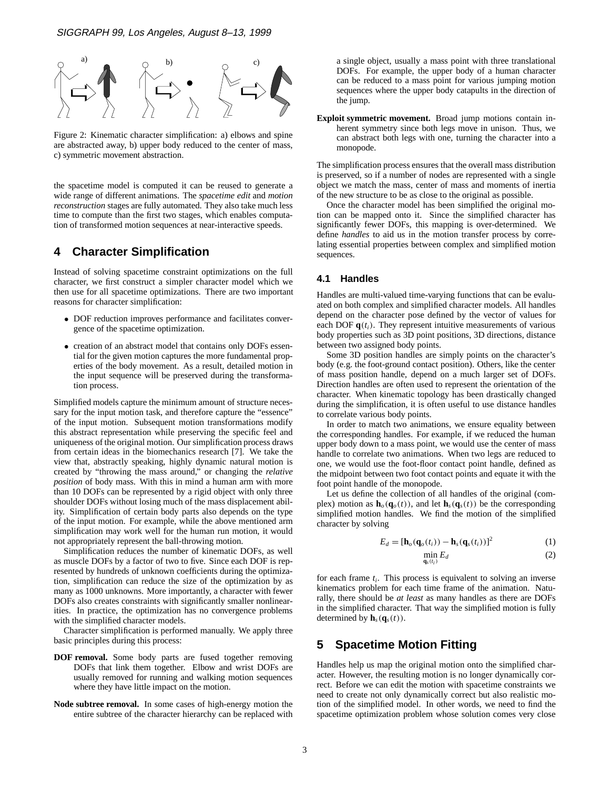

Figure 2: Kinematic character simplification: a) elbows and spine are abstracted away, b) upper body reduced to the center of mass, c) symmetric movement abstraction.

the spacetime model is computed it can be reused to generate a wide range of different animations. The *spacetime edit* and *motion reconstruction* stages are fully automated. They also take much less time to compute than the first two stages, which enables computation of transformed motion sequences at near-interactive speeds.

## **4 Character Simplification**

Instead of solving spacetime constraint optimizations on the full character, we first construct a simpler character model which we then use for all spacetime optimizations. There are two important reasons for character simplification:

- DOF reduction improves performance and facilitates convergence of the spacetime optimization.
- creation of an abstract model that contains only DOFs essential for the given motion captures the more fundamental properties of the body movement. As a result, detailed motion in the input sequence will be preserved during the transformation process.

Simplified models capture the minimum amount of structure necessary for the input motion task, and therefore capture the "essence" of the input motion. Subsequent motion transformations modify this abstract representation while preserving the specific feel and uniqueness of the original motion. Our simplification process draws from certain ideas in the biomechanics research [7]. We take the view that, abstractly speaking, highly dynamic natural motion is created by "throwing the mass around," or changing the *relative position* of body mass. With this in mind a human arm with more than 10 DOFs can be represented by a rigid object with only three shoulder DOFs without losing much of the mass displacement ability. Simplification of certain body parts also depends on the type of the input motion. For example, while the above mentioned arm simplification may work well for the human run motion, it would not appropriately represent the ball-throwing motion.

Simplification reduces the number of kinematic DOFs, as well as muscle DOFs by a factor of two to five. Since each DOF is represented by hundreds of unknown coefficients during the optimization, simplification can reduce the size of the optimization by as many as 1000 unknowns. More importantly, a character with fewer DOFs also creates constraints with significantly smaller nonlinearities. In practice, the optimization has no convergence problems with the simplified character models.

Character simplification is performed manually. We apply three basic principles during this process:

- **DOF removal.** Some body parts are fused together removing DOFs that link them together. Elbow and wrist DOFs are usually removed for running and walking motion sequences where they have little impact on the motion.
- **Node subtree removal.** In some cases of high-energy motion the entire subtree of the character hierarchy can be replaced with

a single object, usually a mass point with three translational DOFs. For example, the upper body of a human character can be reduced to a mass point for various jumping motion sequences where the upper body catapults in the direction of the jump.

**Exploit symmetric movement.** Broad jump motions contain inherent symmetry since both legs move in unison. Thus, we can abstract both legs with one, turning the character into a monopode.

The simplification process ensures that the overall mass distribution is preserved, so if a number of nodes are represented with a single object we match the mass, center of mass and moments of inertia of the new structure to be as close to the original as possible.

Once the character model has been simplified the original motion can be mapped onto it. Since the simplified character has significantly fewer DOFs, this mapping is over-determined. We define *handles* to aid us in the motion transfer process by correlating essential properties between complex and simplified motion sequences.

### **4.1 Handles**

Handles are multi-valued time-varying functions that can be evaluated on both complex and simplified character models. All handles depend on the character pose defined by the vector of values for each DOF  $q(t_i)$ . They represent intuitive measurements of various body properties such as 3D point positions, 3D directions, distance between two assigned body points.

Some 3D position handles are simply points on the character's body (e.g. the foot-ground contact position). Others, like the center of mass position handle, depend on a much larger set of DOFs. Direction handles are often used to represent the orientation of the character. When kinematic topology has been drastically changed during the simplification, it is often useful to use distance handles to correlate various body points.

In order to match two animations, we ensure equality between the corresponding handles. For example, if we reduced the human upper body down to a mass point, we would use the center of mass handle to correlate two animations. When two legs are reduced to one, we would use the foot-floor contact point handle, defined as the midpoint between two foot contact points and equate it with the foot point handle of the monopode.

Let us define the collection of all handles of the original (complex) motion as  $h_o(q_o(t))$ , and let  $h_s(q_s(t))$  be the corresponding simplified motion handles. We find the motion of the simplified character by solving

mi

$$
E_d = \left[\mathbf{h}_o(\mathbf{q}_o(t_i)) - \mathbf{h}_s(\mathbf{q}_s(t_i))\right]^2
$$
 (1)

$$
\min_{\mathbf{q}_s(t_i)} E_d \tag{2}
$$

for each frame  $t_i$ . This process is equivalent to solving an inverse kinematics problem for each time frame of the animation. Naturally, there should be *at least* as many handles as there are DOFs in the simplified character. That way the simplified motion is fully determined by  $\mathbf{h}_s(\mathbf{q}_s(t))$ .

# **5 Spacetime Motion Fitting**

Handles help us map the original motion onto the simplified character. However, the resulting motion is no longer dynamically correct. Before we can edit the motion with spacetime constraints we need to create not only dynamically correct but also realistic motion of the simplified model. In other words, we need to find the spacetime optimization problem whose solution comes very close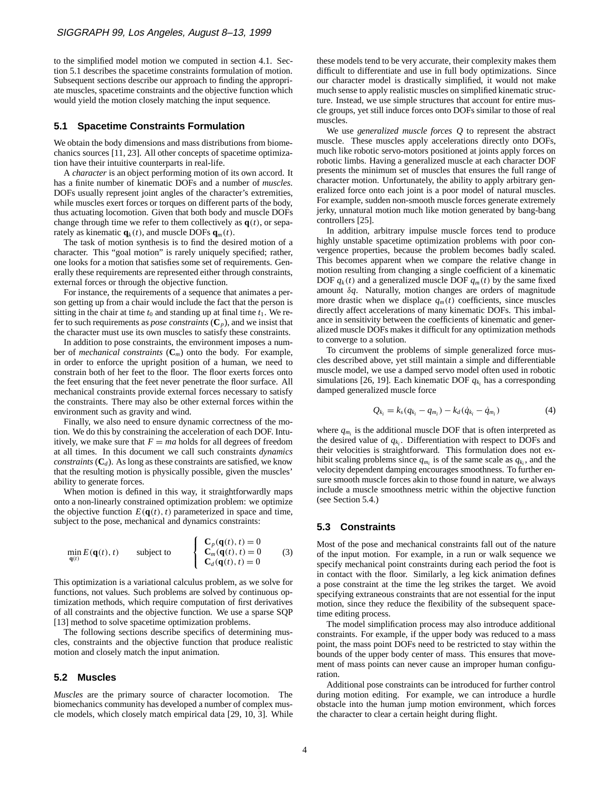to the simplified model motion we computed in section 4.1. Section 5.1 describes the spacetime constraints formulation of motion. Subsequent sections describe our approach to finding the appropriate muscles, spacetime constraints and the objective function which would yield the motion closely matching the input sequence.

#### **5.1 Spacetime Constraints Formulation**

We obtain the body dimensions and mass distributions from biomechanics sources [11, 23]. All other concepts of spacetime optimization have their intuitive counterparts in real-life.

A *character* is an object performing motion of its own accord. It has a finite number of kinematic DOFs and a number of *muscles*. DOFs usually represent joint angles of the character's extremities, while muscles exert forces or torques on different parts of the body, thus actuating locomotion. Given that both body and muscle DOFs change through time we refer to them collectively as  $q(t)$ , or separately as kinematic  $\mathbf{q}_k(t)$ , and muscle DOFs  $\mathbf{q}_m(t)$ .

The task of motion synthesis is to find the desired motion of a character. This "goal motion" is rarely uniquely specified; rather, one looks for a motion that satisfies some set of requirements. Generally these requirements are represented either through constraints, external forces or through the objective function.

For instance, the requirements of a sequence that animates a person getting up from a chair would include the fact that the person is sitting in the chair at time  $t_0$  and standing up at final time  $t_1$ . We refer to such requirements as *pose constraints*  $(C_p)$ , and we insist that the character must use its own muscles to satisfy these constraints.

In addition to pose constraints, the environment imposes a number of *mechanical constraints* (**C***m*) onto the body. For example, in order to enforce the upright position of a human, we need to constrain both of her feet to the floor. The floor exerts forces onto the feet ensuring that the feet never penetrate the floor surface. All mechanical constraints provide external forces necessary to satisfy the constraints. There may also be other external forces within the environment such as gravity and wind.

Finally, we also need to ensure dynamic correctness of the motion. We do this by constraining the acceleration of each DOF. Intuitively, we make sure that  $F = ma$  holds for all degrees of freedom at all times. In this document we call such constraints *dynamics constraints*  $(C_d)$ . As long as these constraints are satisfied, we know that the resulting motion is physically possible, given the muscles' ability to generate forces.

When motion is defined in this way, it straightforwardly maps onto a non-linearly constrained optimization problem: we optimize the objective function  $E(\mathbf{q}(t), t)$  parameterized in space and time, subject to the pose, mechanical and dynamics constraints:

$$
\min_{\mathbf{q}(t)} E(\mathbf{q}(t), t) \quad \text{subject to} \quad \begin{cases} \mathbf{C}_p(\mathbf{q}(t), t) = 0 \\ \mathbf{C}_m(\mathbf{q}(t), t) = 0 \\ \mathbf{C}_d(\mathbf{q}(t), t) = 0 \end{cases} \tag{3}
$$

This optimization is a variational calculus problem, as we solve for functions, not values. Such problems are solved by continuous optimization methods, which require computation of first derivatives of all constraints and the objective function. We use a sparse SQP [13] method to solve spacetime optimization problems.

The following sections describe specifics of determining muscles, constraints and the objective function that produce realistic motion and closely match the input animation.

#### **5.2 Muscles**

*Muscles* are the primary source of character locomotion. The biomechanics community has developed a number of complex muscle models, which closely match empirical data [29, 10, 3]. While these models tend to be very accurate, their complexity makes them difficult to differentiate and use in full body optimizations. Since our character model is drastically simplified, it would not make much sense to apply realistic muscles on simplified kinematic structure. Instead, we use simple structures that account for entire muscle groups, yet still induce forces onto DOFs similar to those of real muscles.

We use *generalized muscle forces Q* to represent the abstract muscle. These muscles apply accelerations directly onto DOFs, much like robotic servo-motors positioned at joints apply forces on robotic limbs. Having a generalized muscle at each character DOF presents the minimum set of muscles that ensures the full range of character motion. Unfortunately, the ability to apply arbitrary generalized force onto each joint is a poor model of natural muscles. For example, sudden non-smooth muscle forces generate extremely jerky, unnatural motion much like motion generated by bang-bang controllers [25].

In addition, arbitrary impulse muscle forces tend to produce highly unstable spacetime optimization problems with poor convergence properties, because the problem becomes badly scaled. This becomes apparent when we compare the relative change in motion resulting from changing a single coefficient of a kinematic DOF  $q_k(t)$  and a generalized muscle DOF  $q_m(t)$  by the same fixed amount δ*q*. Naturally, motion changes are orders of magnitude more drastic when we displace  $q_m(t)$  coefficients, since muscles directly affect accelerations of many kinematic DOFs. This imbalance in sensitivity between the coefficients of kinematic and generalized muscle DOFs makes it difficult for any optimization methods to converge to a solution.

To circumvent the problems of simple generalized force muscles described above, yet still maintain a simple and differentiable muscle model, we use a damped servo model often used in robotic simulations [26, 19]. Each kinematic DOF  $q_{k_i}$  has a corresponding damped generalized muscle force

$$
Q_{k_i} = k_s (q_{k_i} - q_{m_i}) - k_d (\dot{q}_{k_i} - \dot{q}_{m_i})
$$
(4)

where  $q_{m_i}$  is the additional muscle DOF that is often interpreted as the desired value of  $q_{k_i}$ . Differentiation with respect to DOFs and their velocities is straightforward. This formulation does not exhibit scaling problems since  $q_{m_i}$  is of the same scale as  $q_{k_i}$ , and the velocity dependent damping encourages smoothness. To further ensure smooth muscle forces akin to those found in nature, we always include a muscle smoothness metric within the objective function (see Section 5.4.)

### **5.3 Constraints**

Most of the pose and mechanical constraints fall out of the nature of the input motion. For example, in a run or walk sequence we specify mechanical point constraints during each period the foot is in contact with the floor. Similarly, a leg kick animation defines a pose constraint at the time the leg strikes the target. We avoid specifying extraneous constraints that are not essential for the input motion, since they reduce the flexibility of the subsequent spacetime editing process.

The model simplification process may also introduce additional constraints. For example, if the upper body was reduced to a mass point, the mass point DOFs need to be restricted to stay within the bounds of the upper body center of mass. This ensures that movement of mass points can never cause an improper human configuration.

Additional pose constraints can be introduced for further control during motion editing. For example, we can introduce a hurdle obstacle into the human jump motion environment, which forces the character to clear a certain height during flight.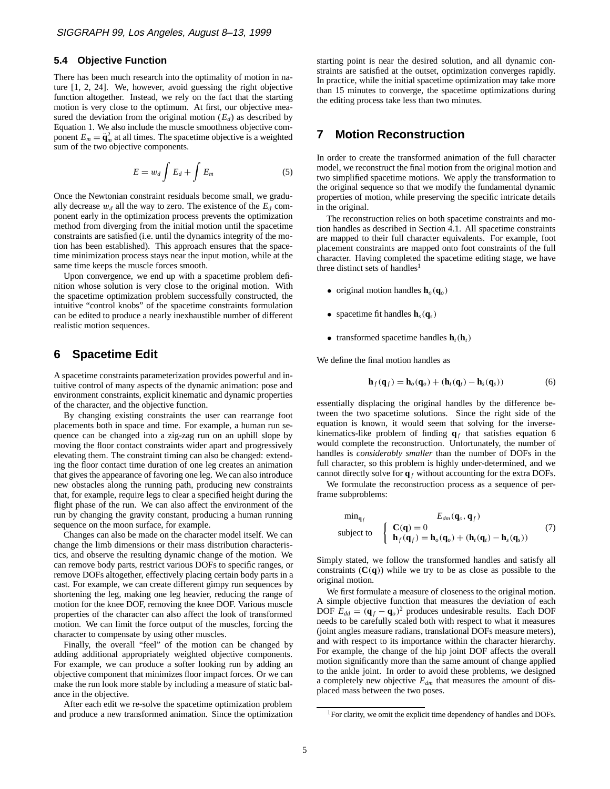### **5.4 Objective Function**

There has been much research into the optimality of motion in nature [1, 2, 24]. We, however, avoid guessing the right objective function altogether. Instead, we rely on the fact that the starting motion is very close to the optimum. At first, our objective measured the deviation from the original motion  $(E_d)$  as described by Equation 1. We also include the muscle smoothness objective component  $E_m = \ddot{\mathbf{q}}_m^2$  at all times. The spacetime objective is a weighted sum of the two objective components.

$$
E = w_d \int E_d + \int E_m \tag{5}
$$

Once the Newtonian constraint residuals become small, we gradually decrease  $w_d$  all the way to zero. The existence of the  $E_d$  component early in the optimization process prevents the optimization method from diverging from the initial motion until the spacetime constraints are satisfied (i.e. until the dynamics integrity of the motion has been established). This approach ensures that the spacetime minimization process stays near the input motion, while at the same time keeps the muscle forces smooth.

Upon convergence, we end up with a spacetime problem definition whose solution is very close to the original motion. With the spacetime optimization problem successfully constructed, the intuitive "control knobs" of the spacetime constraints formulation can be edited to produce a nearly inexhaustible number of different realistic motion sequences.

### **6 Spacetime Edit**

A spacetime constraints parameterization provides powerful and intuitive control of many aspects of the dynamic animation: pose and environment constraints, explicit kinematic and dynamic properties of the character, and the objective function.

By changing existing constraints the user can rearrange foot placements both in space and time. For example, a human run sequence can be changed into a zig-zag run on an uphill slope by moving the floor contact constraints wider apart and progressively elevating them. The constraint timing can also be changed: extending the floor contact time duration of one leg creates an animation that gives the appearance of favoring one leg. We can also introduce new obstacles along the running path, producing new constraints that, for example, require legs to clear a specified height during the flight phase of the run. We can also affect the environment of the run by changing the gravity constant, producing a human running sequence on the moon surface, for example.

Changes can also be made on the character model itself. We can change the limb dimensions or their mass distribution characteristics, and observe the resulting dynamic change of the motion. We can remove body parts, restrict various DOFs to specific ranges, or remove DOFs altogether, effectively placing certain body parts in a cast. For example, we can create different gimpy run sequences by shortening the leg, making one leg heavier, reducing the range of motion for the knee DOF, removing the knee DOF. Various muscle properties of the character can also affect the look of transformed motion. We can limit the force output of the muscles, forcing the character to compensate by using other muscles.

Finally, the overall "feel" of the motion can be changed by adding additional appropriately weighted objective components. For example, we can produce a softer looking run by adding an objective component that minimizes floor impact forces. Or we can make the run look more stable by including a measure of static balance in the objective.

After each edit we re-solve the spacetime optimization problem and produce a new transformed animation. Since the optimization starting point is near the desired solution, and all dynamic constraints are satisfied at the outset, optimization converges rapidly. In practice, while the initial spacetime optimization may take more than 15 minutes to converge, the spacetime optimizations during the editing process take less than two minutes.

## **7 Motion Reconstruction**

In order to create the transformed animation of the full character model, we reconstruct the final motion from the original motion and two simplified spacetime motions. We apply the transformation to the original sequence so that we modify the fundamental dynamic properties of motion, while preserving the specific intricate details in the original.

The reconstruction relies on both spacetime constraints and motion handles as described in Section 4.1. All spacetime constraints are mapped to their full character equivalents. For example, foot placement constraints are mapped onto foot constraints of the full character. Having completed the spacetime editing stage, we have three distinct sets of handles<sup>1</sup>

- original motion handles  $h_o(q_o)$
- spacetime fit handles  $\mathbf{h}_s(\mathbf{q}_s)$
- transformed spacetime handles  $\mathbf{h}_t(\mathbf{h}_t)$

We define the final motion handles as

$$
\mathbf{h}_f(\mathbf{q}_f) = \mathbf{h}_o(\mathbf{q}_o) + (\mathbf{h}_t(\mathbf{q}_t) - \mathbf{h}_s(\mathbf{q}_s))
$$
(6)

essentially displacing the original handles by the difference between the two spacetime solutions. Since the right side of the equation is known, it would seem that solving for the inversekinematics-like problem of finding  $q_f$  that satisfies equation 6 would complete the reconstruction. Unfortunately, the number of handles is *considerably smaller* than the number of DOFs in the full character, so this problem is highly under-determined, and we cannot directly solve for  $q_f$  without accounting for the extra DOFs.

We formulate the reconstruction process as a sequence of perframe subproblems:

$$
\min_{\mathbf{q}_f} \qquad E_{dm}(\mathbf{q}_o, \mathbf{q}_f) \n\text{subject to} \begin{cases} \mathbf{C}(\mathbf{q}) = 0 & (7) \\ \mathbf{h}_f(\mathbf{q}_f) = \mathbf{h}_o(\mathbf{q}_o) + (\mathbf{h}_f(\mathbf{q}_f) - \mathbf{h}_s(\mathbf{q}_s)) \end{cases}
$$

Simply stated, we follow the transformed handles and satisfy all constraints  $(C(q))$  while we try to be as close as possible to the original motion.

We first formulate a measure of closeness to the original motion. A simple objective function that measures the deviation of each DOF  $E_{dd} = (\mathbf{q}_f - \mathbf{q}_o)^2$  produces undesirable results. Each DOF needs to be carefully scaled both with respect to what it measures (joint angles measure radians, translational DOFs measure meters), and with respect to its importance within the character hierarchy. For example, the change of the hip joint DOF affects the overall motion significantly more than the same amount of change applied to the ankle joint. In order to avoid these problems, we designed a completely new objective  $E_{dm}$  that measures the amount of displaced mass between the two poses.

<sup>&</sup>lt;sup>1</sup>For clarity, we omit the explicit time dependency of handles and DOFs.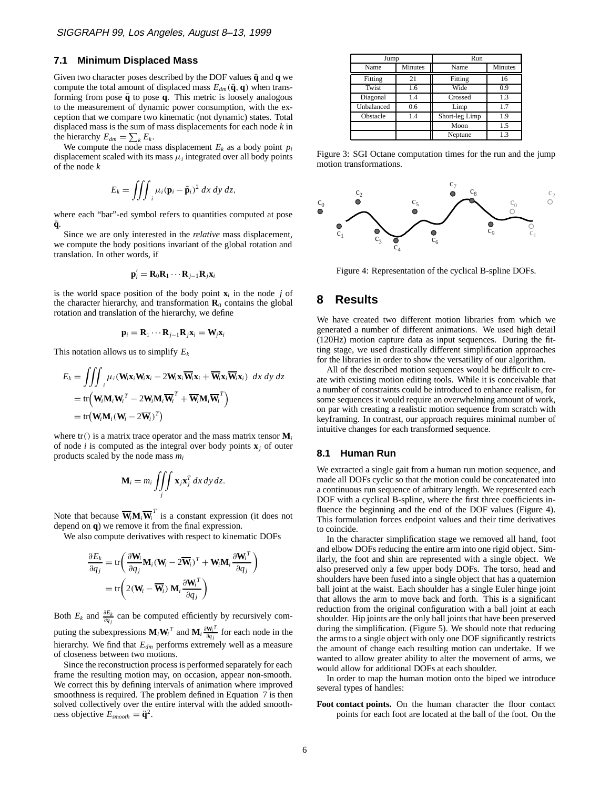#### **7.1 Minimum Displaced Mass**

Given two character poses described by the DOF values  $\bar{\mathbf{q}}$  and  $\mathbf{q}$  we compute the total amount of displaced mass  $E_{dm}(\bar{\mathbf{q}}, \mathbf{q})$  when transforming from pose  $\bar{\mathbf{q}}$  to pose  $\mathbf{q}$ . This metric is loosely analogous to the measurement of dynamic power consumption, with the exception that we compare two kinematic (not dynamic) states. Total displaced mass is the sum of mass displacements for each node *k* in the hierarchy  $E_{dm} = \sum_k E_k$ .

We compute the node mass displacement  $E_k$  as a body point  $p_i$ displacement scaled with its mass  $\mu_i$  integrated over all body points of the node *k*

$$
E_k = \iiint_i \mu_i (\mathbf{p}_i - \bar{\mathbf{p}}_i)^2 dx dy dz,
$$

where each "bar"-ed symbol refers to quantities computed at pose **q**¯.

Since we are only interested in the *relative* mass displacement, we compute the body positions invariant of the global rotation and translation. In other words, if

$$
\mathbf{p}'_i = \mathbf{R}_0 \mathbf{R}_1 \cdots \mathbf{R}_{j-1} \mathbf{R}_j \mathbf{x}_i
$$

is the world space position of the body point  $\mathbf{x}_i$  in the node *j* of the character hierarchy, and transformation  $\mathbf{R}_{0}$  contains the global rotation and translation of the hierarchy, we define

$$
\mathbf{p}_i = \mathbf{R}_1 \cdots \mathbf{R}_{j-1} \mathbf{R}_j \mathbf{x}_i = \mathbf{W}_j \mathbf{x}_i
$$

This notation allows us to simplify *Ek*

$$
E_k = \iiint_i \mu_i(\mathbf{W}_i \mathbf{x}_i \mathbf{W}_i \mathbf{x}_i - 2\mathbf{W}_i \mathbf{x}_i \overline{\mathbf{W}}_i \mathbf{x}_i + \overline{\mathbf{W}}_i \mathbf{x}_i \overline{\mathbf{W}}_i \mathbf{x}_i) dx dy dz
$$
  
= tr $(\mathbf{W}_i \mathbf{M}_i \mathbf{W}_i^T - 2\mathbf{W}_i \mathbf{M}_i \overline{\mathbf{W}}_i^T + \overline{\mathbf{W}}_i \mathbf{M}_i \overline{\mathbf{W}}_i^T)$   
= tr $(\mathbf{W}_i \mathbf{M}_i (\mathbf{W}_i - 2\overline{\mathbf{W}}_i)^T)$ 

where tr() is a matrix trace operator and the mass matrix tensor **M***<sup>i</sup>* of node *i* is computed as the integral over body points  $\mathbf{x}_i$  of outer products scaled by the node mass *mi*

$$
\mathbf{M}_i = m_i \iiint_j \mathbf{x}_j \mathbf{x}_j^T dx dy dz.
$$

Note that because  $\overline{\mathbf{W}}_i \mathbf{M}_i \overline{\mathbf{W}}_i^T$  is a constant expression (it does not depend on **q**) we remove it from the final expression.

We also compute derivatives with respect to kinematic DOFs

$$
\frac{\partial E_k}{\partial q_j} = \text{tr}\left(\frac{\partial \mathbf{W}_i}{\partial q_j} \mathbf{M}_i (\mathbf{W}_i - 2\overline{\mathbf{W}}_i)^T + \mathbf{W}_i \mathbf{M}_i \frac{\partial \mathbf{W}_i^T}{\partial q_j}\right)
$$

$$
= \text{tr}\left(2(\mathbf{W}_i - \overline{\mathbf{W}}_i) \mathbf{M}_i \frac{\partial \mathbf{W}_i^T}{\partial q_j}\right)
$$

Both  $E_k$  and  $\frac{\partial E_k}{\partial q_j}$  can be computed efficiently by recursively computing the subexpressions  $\mathbf{M}_i \mathbf{W}_i^T$  and  $\mathbf{M}_i \frac{\partial \mathbf{W}_i^T}{\partial q_j}$  for each node in the hierarchy. We find that  $E_{dm}$  performs extremely well as a measure of closeness between two motions.

Since the reconstruction process is performed separately for each frame the resulting motion may, on occasion, appear non-smooth. We correct this by defining intervals of animation where improved smoothness is required. The problem defined in Equation 7 is then solved collectively over the entire interval with the added smoothness objective  $E_{\text{smooth}} = \ddot{\mathbf{q}}^2$ .

| Jump       |         | Run            |                |
|------------|---------|----------------|----------------|
| Name       | Minutes | Name           | <b>Minutes</b> |
| Fitting    | 21      | Fitting        | 16             |
| Twist      | 1.6     | Wide           | 0.9            |
| Diagonal   | 1.4     | Crossed        | 1.3            |
| Unbalanced | 0.6     | Limp           | 17             |
| Obstacle   | 1.4     | Short-leg Limp | 1.9            |
|            |         | Moon           | 1.5            |
|            |         | Neptune        | 13             |

Figure 3: SGI Octane computation times for the run and the jump motion transformations.



Figure 4: Representation of the cyclical B-spline DOFs.

### **8 Results**

We have created two different motion libraries from which we generated a number of different animations. We used high detail (120Hz) motion capture data as input sequences. During the fitting stage, we used drastically different simplification approaches for the libraries in order to show the versatility of our algorithm.

All of the described motion sequences would be difficult to create with existing motion editing tools. While it is conceivable that a number of constraints could be introduced to enhance realism, for some sequences it would require an overwhelming amount of work, on par with creating a realistic motion sequence from scratch with keyframing. In contrast, our approach requires minimal number of intuitive changes for each transformed sequence.

### **8.1 Human Run**

We extracted a single gait from a human run motion sequence, and made all DOFs cyclic so that the motion could be concatenated into a continuous run sequence of arbitrary length. We represented each DOF with a cyclical B-spline, where the first three coefficients influence the beginning and the end of the DOF values (Figure 4). This formulation forces endpoint values and their time derivatives to coincide.

In the character simplification stage we removed all hand, foot and elbow DOFs reducing the entire arm into one rigid object. Similarly, the foot and shin are represented with a single object. We also preserved only a few upper body DOFs. The torso, head and shoulders have been fused into a single object that has a quaternion ball joint at the waist. Each shoulder has a single Euler hinge joint that allows the arm to move back and forth. This is a significant reduction from the original configuration with a ball joint at each shoulder. Hip joints are the only ball joints that have been preserved during the simplification. (Figure 5). We should note that reducing the arms to a single object with only one DOF significantly restricts the amount of change each resulting motion can undertake. If we wanted to allow greater ability to alter the movement of arms, we would allow for additional DOFs at each shoulder.

In order to map the human motion onto the biped we introduce several types of handles:

**Foot contact points.** On the human character the floor contact points for each foot are located at the ball of the foot. On the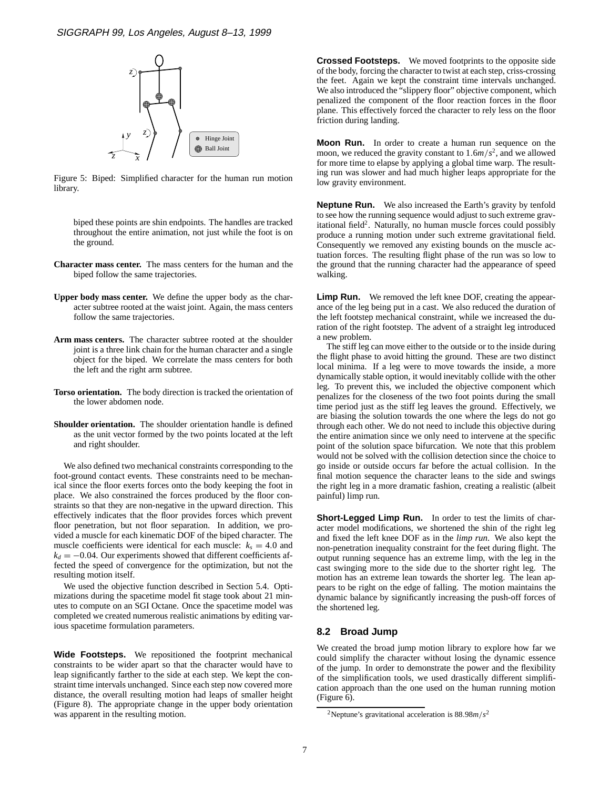

Figure 5: Biped: Simplified character for the human run motion library.

biped these points are shin endpoints. The handles are tracked throughout the entire animation, not just while the foot is on the ground.

- **Character mass center.** The mass centers for the human and the biped follow the same trajectories.
- **Upper body mass center.** We define the upper body as the character subtree rooted at the waist joint. Again, the mass centers follow the same trajectories.
- **Arm mass centers.** The character subtree rooted at the shoulder joint is a three link chain for the human character and a single object for the biped. We correlate the mass centers for both the left and the right arm subtree.
- **Torso orientation.** The body direction is tracked the orientation of the lower abdomen node.
- **Shoulder orientation.** The shoulder orientation handle is defined as the unit vector formed by the two points located at the left and right shoulder.

We also defined two mechanical constraints corresponding to the foot-ground contact events. These constraints need to be mechanical since the floor exerts forces onto the body keeping the foot in place. We also constrained the forces produced by the floor constraints so that they are non-negative in the upward direction. This effectively indicates that the floor provides forces which prevent floor penetration, but not floor separation. In addition, we provided a muscle for each kinematic DOF of the biped character. The muscle coefficients were identical for each muscle:  $k_s = 4.0$  and  $k_d = -0.04$ . Our experiments showed that different coefficients affected the speed of convergence for the optimization, but not the resulting motion itself.

We used the objective function described in Section 5.4. Optimizations during the spacetime model fit stage took about 21 minutes to compute on an SGI Octane. Once the spacetime model was completed we created numerous realistic animations by editing various spacetime formulation parameters.

**Wide Footsteps.** We repositioned the footprint mechanical constraints to be wider apart so that the character would have to leap significantly farther to the side at each step. We kept the constraint time intervals unchanged. Since each step now covered more distance, the overall resulting motion had leaps of smaller height (Figure 8). The appropriate change in the upper body orientation was apparent in the resulting motion.

**Crossed Footsteps.** We moved footprints to the opposite side of the body, forcing the character to twist at each step, criss-crossing the feet. Again we kept the constraint time intervals unchanged. We also introduced the "slippery floor" objective component, which penalized the component of the floor reaction forces in the floor plane. This effectively forced the character to rely less on the floor friction during landing.

**Moon Run.** In order to create a human run sequence on the moon, we reduced the gravity constant to 1.6*m*/*s*2, and we allowed for more time to elapse by applying a global time warp. The resulting run was slower and had much higher leaps appropriate for the low gravity environment.

**Neptune Run.** We also increased the Earth's gravity by tenfold to see how the running sequence would adjust to such extreme gravitational field<sup>2</sup>. Naturally, no human muscle forces could possibly produce a running motion under such extreme gravitational field. Consequently we removed any existing bounds on the muscle actuation forces. The resulting flight phase of the run was so low to the ground that the running character had the appearance of speed walking.

**Limp Run.** We removed the left knee DOF, creating the appearance of the leg being put in a cast. We also reduced the duration of the left footstep mechanical constraint, while we increased the duration of the right footstep. The advent of a straight leg introduced a new problem.

The stiff leg can move either to the outside or to the inside during the flight phase to avoid hitting the ground. These are two distinct local minima. If a leg were to move towards the inside, a more dynamically stable option, it would inevitably collide with the other leg. To prevent this, we included the objective component which penalizes for the closeness of the two foot points during the small time period just as the stiff leg leaves the ground. Effectively, we are biasing the solution towards the one where the legs do not go through each other. We do not need to include this objective during the entire animation since we only need to intervene at the specific point of the solution space bifurcation. We note that this problem would not be solved with the collision detection since the choice to go inside or outside occurs far before the actual collision. In the final motion sequence the character leans to the side and swings the right leg in a more dramatic fashion, creating a realistic (albeit painful) limp run.

**Short-Legged Limp Run.** In order to test the limits of character model modifications, we shortened the shin of the right leg and fixed the left knee DOF as in the *limp run*. We also kept the non-penetration inequality constraint for the feet during flight. The output running sequence has an extreme limp, with the leg in the cast swinging more to the side due to the shorter right leg. The motion has an extreme lean towards the shorter leg. The lean appears to be right on the edge of falling. The motion maintains the dynamic balance by significantly increasing the push-off forces of the shortened leg.

### **8.2 Broad Jump**

We created the broad jump motion library to explore how far we could simplify the character without losing the dynamic essence of the jump. In order to demonstrate the power and the flexibility of the simplification tools, we used drastically different simplification approach than the one used on the human running motion (Figure 6).

<sup>2</sup>Neptune's gravitational acceleration is 88.98*m*/*s*<sup>2</sup>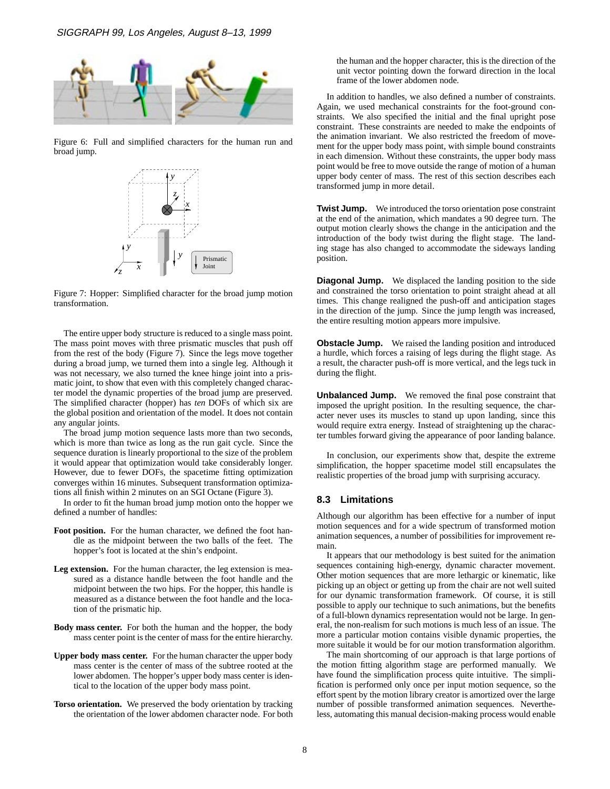

Figure 6: Full and simplified characters for the human run and broad jump.



Figure 7: Hopper: Simplified character for the broad jump motion transformation.

The entire upper body structure is reduced to a single mass point. The mass point moves with three prismatic muscles that push off from the rest of the body (Figure 7). Since the legs move together during a broad jump, we turned them into a single leg. Although it was not necessary, we also turned the knee hinge joint into a prismatic joint, to show that even with this completely changed character model the dynamic properties of the broad jump are preserved. The simplified character (hopper) has *ten* DOFs of which six are the global position and orientation of the model. It does not contain any angular joints.

The broad jump motion sequence lasts more than two seconds, which is more than twice as long as the run gait cycle. Since the sequence duration is linearly proportional to the size of the problem it would appear that optimization would take considerably longer. However, due to fewer DOFs, the spacetime fitting optimization converges within 16 minutes. Subsequent transformation optimizations all finish within 2 minutes on an SGI Octane (Figure 3).

In order to fit the human broad jump motion onto the hopper we defined a number of handles:

- **Foot position.** For the human character, we defined the foot handle as the midpoint between the two balls of the feet. The hopper's foot is located at the shin's endpoint.
- **Leg extension.** For the human character, the leg extension is measured as a distance handle between the foot handle and the midpoint between the two hips. For the hopper, this handle is measured as a distance between the foot handle and the location of the prismatic hip.
- **Body mass center.** For both the human and the hopper, the body mass center point is the center of mass for the entire hierarchy.
- **Upper body mass center.** For the human character the upper body mass center is the center of mass of the subtree rooted at the lower abdomen. The hopper's upper body mass center is identical to the location of the upper body mass point.
- **Torso orientation.** We preserved the body orientation by tracking the orientation of the lower abdomen character node. For both

the human and the hopper character, this is the direction of the unit vector pointing down the forward direction in the local frame of the lower abdomen node.

In addition to handles, we also defined a number of constraints. Again, we used mechanical constraints for the foot-ground constraints. We also specified the initial and the final upright pose constraint. These constraints are needed to make the endpoints of the animation invariant. We also restricted the freedom of movement for the upper body mass point, with simple bound constraints in each dimension. Without these constraints, the upper body mass point would be free to move outside the range of motion of a human upper body center of mass. The rest of this section describes each transformed jump in more detail.

**Twist Jump.** We introduced the torso orientation pose constraint at the end of the animation, which mandates a 90 degree turn. The output motion clearly shows the change in the anticipation and the introduction of the body twist during the flight stage. The landing stage has also changed to accommodate the sideways landing position.

**Diagonal Jump.** We displaced the landing position to the side and constrained the torso orientation to point straight ahead at all times. This change realigned the push-off and anticipation stages in the direction of the jump. Since the jump length was increased, the entire resulting motion appears more impulsive.

**Obstacle Jump.** We raised the landing position and introduced a hurdle, which forces a raising of legs during the flight stage. As a result, the character push-off is more vertical, and the legs tuck in during the flight.

**Unbalanced Jump.** We removed the final pose constraint that imposed the upright position. In the resulting sequence, the character never uses its muscles to stand up upon landing, since this would require extra energy. Instead of straightening up the character tumbles forward giving the appearance of poor landing balance.

In conclusion, our experiments show that, despite the extreme simplification, the hopper spacetime model still encapsulates the realistic properties of the broad jump with surprising accuracy.

### **8.3 Limitations**

Although our algorithm has been effective for a number of input motion sequences and for a wide spectrum of transformed motion animation sequences, a number of possibilities for improvement remain.

It appears that our methodology is best suited for the animation sequences containing high-energy, dynamic character movement. Other motion sequences that are more lethargic or kinematic, like picking up an object or getting up from the chair are not well suited for our dynamic transformation framework. Of course, it is still possible to apply our technique to such animations, but the benefits of a full-blown dynamics representation would not be large. In general, the non-realism for such motions is much less of an issue. The more a particular motion contains visible dynamic properties, the more suitable it would be for our motion transformation algorithm.

The main shortcoming of our approach is that large portions of the motion fitting algorithm stage are performed manually. We have found the simplification process quite intuitive. The simplification is performed only once per input motion sequence, so the effort spent by the motion library creator is amortized over the large number of possible transformed animation sequences. Nevertheless, automating this manual decision-making process would enable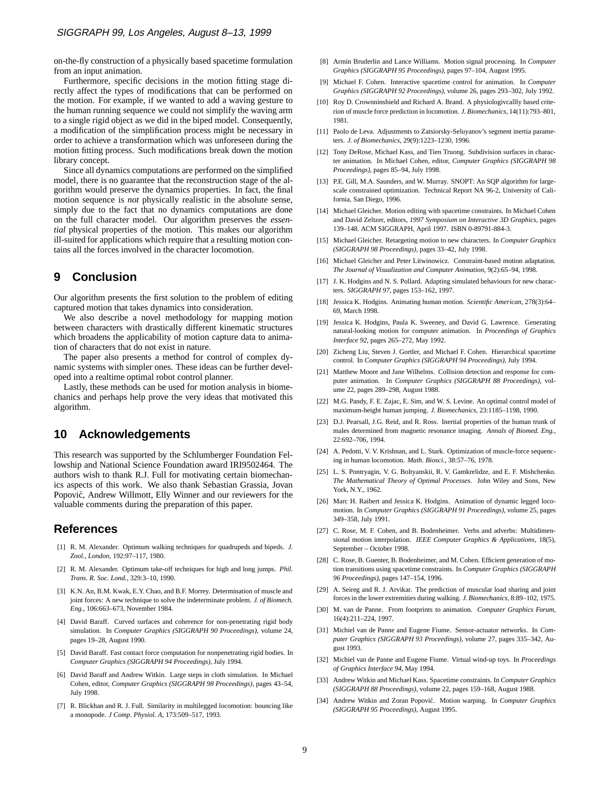on-the-fly construction of a physically based spacetime formulation from an input animation.

Furthermore, specific decisions in the motion fitting stage directly affect the types of modifications that can be performed on the motion. For example, if we wanted to add a waving gesture to the human running sequence we could not simplify the waving arm to a single rigid object as we did in the biped model. Consequently, a modification of the simplification process might be necessary in order to achieve a transformation which was unforeseen during the motion fitting process. Such modifications break down the motion library concept.

Since all dynamics computations are performed on the simplified model, there is no guarantee that the reconstruction stage of the algorithm would preserve the dynamics properties. In fact, the final motion sequence is *not* physically realistic in the absolute sense, simply due to the fact that no dynamics computations are done on the full character model. Our algorithm preserves the *essential* physical properties of the motion. This makes our algorithm ill-suited for applications which require that a resulting motion contains all the forces involved in the character locomotion.

# **9 Conclusion**

Our algorithm presents the first solution to the problem of editing captured motion that takes dynamics into consideration.

We also describe a novel methodology for mapping motion between characters with drastically different kinematic structures which broadens the applicability of motion capture data to animation of characters that do not exist in nature.

The paper also presents a method for control of complex dynamic systems with simpler ones. These ideas can be further developed into a realtime optimal robot control planner.

Lastly, these methods can be used for motion analysis in biomechanics and perhaps help prove the very ideas that motivated this algorithm.

# **10 Acknowledgements**

This research was supported by the Schlumberger Foundation Fellowship and National Science Foundation award IRI9502464. The authors wish to thank R.J. Full for motivating certain biomechanics aspects of this work. We also thank Sebastian Grassia, Jovan Popović, Andrew Willmott, Elly Winner and our reviewers for the valuable comments during the preparation of this paper.

### **References**

- [1] R. M. Alexander. Optimum walking techniques for quadrupeds and bipeds. *J. Zool., London*, 192:97–117, 1980.
- [2] R. M. Alexander. Optimum take-off techniques for high and long jumps. *Phil. Trans. R. Soc. Lond.*, 329:3–10, 1990.
- [3] K.N. An, B.M. Kwak, E.Y. Chao, and B.F. Morrey. Determination of muscle and joint forces: A new technique to solve the indeterminate problem. *J. of Biomech. Eng.*, 106:663–673, November 1984.
- [4] David Baraff. Curved surfaces and coherence for non-penetrating rigid body simulation. In *Computer Graphics (SIGGRAPH 90 Proceedings)*, volume 24, pages 19–28, August 1990.
- [5] David Baraff. Fast contact force computation for nonpenetrating rigid bodies. In *Computer Graphics (SIGGRAPH 94 Proceedings)*, July 1994.
- [6] David Baraff and Andrew Witkin. Large steps in cloth simulation. In Michael Cohen, editor, *Computer Graphics (SIGGRAPH 98 Proceedings)*, pages 43–54, July 1998.
- [7] R. Blickhan and R. J. Full. Similarity in multilegged locomotion: bouncing like a monopode. *J Comp. Physiol. A*, 173:509–517, 1993.
- [8] Armin Bruderlin and Lance Williams. Motion signal processing. In *Computer Graphics (SIGGRAPH 95 Proceedings)*, pages 97–104, August 1995.
- [9] Michael F. Cohen. Interactive spacetime control for animation. In *Computer Graphics (SIGGRAPH 92 Proceedings)*, volume 26, pages 293–302, July 1992.
- [10] Roy D. Crownninshield and Richard A. Brand. A physiologivcallly based criterion of muscle force prediction in locomotion. *J. Biomechanics*, 14(11):793–801, 1981.
- [11] Paolo de Leva. Adjustments to Zatsiorsky-Seluyanov's segment inertia parameters. *J. of Biomechanics*, 29(9):1223–1230, 1996.
- [12] Tony DeRose, Michael Kass, and Tien Truong. Subdivision surfaces in character animation. In Michael Cohen, editor, *Computer Graphics (SIGGRAPH 98 Proceedings)*, pages 85–94, July 1998.
- [13] P.E. Gill, M.A. Saunders, and W. Murray. SNOPT: An SQP algorithm for largescale constrained optimization. Technical Report NA 96-2, University of California, San Diego, 1996.
- [14] Michael Gleicher. Motion editing with spacetime constraints. In Michael Cohen and David Zeltzer, editors, *1997 Symposium on Interactive 3D Graphics*, pages 139–148. ACM SIGGRAPH, April 1997. ISBN 0-89791-884-3.
- [15] Michael Gleicher. Retargeting motion to new characters. In *Computer Graphics (SIGGRAPH 98 Proceedings)*, pages 33–42, July 1998.
- [16] Michael Gleicher and Peter Litwinowicz. Constraint-based motion adaptation. *The Journal of Visualization and Computer Animation*, 9(2):65–94, 1998.
- [17] J. K. Hodgins and N. S. Pollard. Adapting simulated behaviours for new characters. *SIGGRAPH 97*, pages 153–162, 1997.
- [18] Jessica K. Hodgins. Animating human motion. *Scientific American*, 278(3):64– 69, March 1998.
- [19] Jessica K. Hodgins, Paula K. Sweeney, and David G. Lawrence. Generating natural-looking motion for computer animation. In *Proceedings of Graphics Interface 92*, pages 265–272, May 1992.
- [20] Zicheng Liu, Steven J. Gortler, and Michael F. Cohen. Hierarchical spacetime control. In *Computer Graphics (SIGGRAPH 94 Proceedings)*, July 1994.
- [21] Matthew Moore and Jane Wilhelms. Collision detection and response for computer animation. In *Computer Graphics (SIGGRAPH 88 Proceedings)*, volume 22, pages 289–298, August 1988.
- [22] M.G. Pandy, F. E. Zajac, E. Sim, and W. S. Levine. An optimal control model of maximum-height human jumping. *J. Biomechanics*, 23:1185–1198, 1990.
- [23] D.J. Pearsall, J.G. Reid, and R. Ross. Inertial properties of the human trunk of males determined from magnetic resonance imaging. *Annals of Biomed. Eng.*, 22:692–706, 1994.
- [24] A. Pedotti, V. V. Krishnan, and L. Stark. Optimization of muscle-force sequencing in human locomotion. *Math. Biosci.*, 38:57–76, 1978.
- [25] L. S. Pontryagin, V. G. Boltyanskii, R. V. Gamkrelidze, and E. F. Mishchenko. *The Mathematical Theory of Optimal Processes*. John Wiley and Sons, New York, N.Y., 1962.
- [26] Marc H. Raibert and Jessica K. Hodgins. Animation of dynamic legged locomotion. In *Computer Graphics (SIGGRAPH 91 Proceedings)*, volume 25, pages 349–358, July 1991.
- [27] C. Rose, M. F. Cohen, and B. Bodenheimer. Verbs and adverbs: Multidimensional motion interpolation. *IEEE Computer Graphics & Applications*, 18(5), September – October 1998.
- [28] C. Rose, B. Guenter, B. Bodenheimer, and M. Cohen. Efficient generation of motion transitions using spacetime constraints. In *Computer Graphics (SIGGRAPH 96 Proceedings)*, pages 147–154, 1996.
- [29] A. Seireg and R. J. Arvikar. The prediction of muscular load sharing and joint forces in the lower extremities during walking. *J. Biomechanics*, 8:89–102, 1975.
- [30] M. van de Panne. From footprints to animation. *Computer Graphics Forum*, 16(4):211–224, 1997.
- [31] Michiel van de Panne and Eugene Fiume. Sensor-actuator networks. In *Computer Graphics (SIGGRAPH 93 Proceedings)*, volume 27, pages 335–342, August 1993.
- [32] Michiel van de Panne and Eugene Fiume. Virtual wind-up toys. In *Proceedings of Graphics Interface 94*, May 1994.
- [33] Andrew Witkin and Michael Kass. Spacetime constraints. In *Computer Graphics (SIGGRAPH 88 Proceedings)*, volume 22, pages 159–168, August 1988.
- [34] Andrew Witkin and Zoran Popović. Motion warping. In *Computer Graphics (SIGGRAPH 95 Proceedings)*, August 1995.